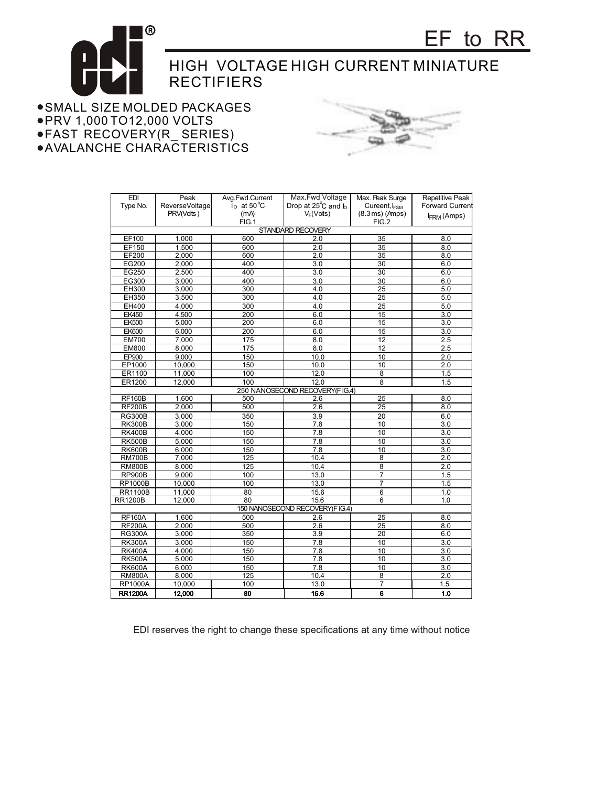

SMALL SIZE MOLDED PACKAGES PRV 1,000 TO12,000 VOLTS FAST RECOVERY(R\_ SERIES) AVALANCHE CHARACTERISTICS



| <b>EDI</b>                       | Peak           | Avg.Fwd.Current         | Max.Fwd Voltage                | Max. Peak Surge              | <b>Repetitive Peak</b> |  |
|----------------------------------|----------------|-------------------------|--------------------------------|------------------------------|------------------------|--|
| Type No.                         | ReverseVoltage | $I_0$ at $50^{\circ}$ C | Drop at $25^{\circ}$ C and $h$ | Cureent, IFSM                | Forward Current        |  |
|                                  | PRV(Volts)     | (mA)                    | $V_F(Vots)$                    | $(8.3 \,\mathrm{ms})$ (Amps) | <b>IFRM (Amps)</b>     |  |
|                                  |                | FIG.1                   |                                | FIG.2                        |                        |  |
| STANDARD RECOVERY                |                |                         |                                |                              |                        |  |
| EF100                            | 1,000          | 600                     | 2.0                            | 35                           | 8.0                    |  |
| EF150                            | 1.500          | 600                     | 2.0                            | 35                           | 8.0                    |  |
| EF200                            | 2,000          | 600                     | 2.0                            | 35                           | 8.0                    |  |
| EG200                            | 2.000          | 400                     | $\overline{3.0}$               | 30                           | 6.0                    |  |
| EG250                            | 2,500          | 400                     | 3.0                            | 30                           | 6.0                    |  |
| EG300                            | 3.000          | 400                     | $\overline{3.0}$               | 30                           | 6.0                    |  |
| EH300                            | 3,000          | 300                     | 4.0                            | 25                           | 5.0                    |  |
| EH350                            | 3,500          | 300                     | 4.0                            | 25                           | 5.0                    |  |
| EH400                            | 4,000          | 300                     | 4.0                            | 25                           | 5.0                    |  |
| <b>EK450</b>                     | 4,500          | 200                     | 6.0                            | 15                           | 3.0                    |  |
| <b>EK500</b>                     | 5,000          | 200                     | 6.0                            | 15                           | 3.0                    |  |
| <b>EK600</b>                     | 6,000          | 200                     | 6.0                            | 15                           | 3.0                    |  |
| <b>EM700</b>                     | 7,000          | 175                     | 8.0                            | 12                           | 2.5                    |  |
| <b>EM800</b>                     | 8,000          | 175                     | 8.0                            | 12                           | 2.5                    |  |
| <b>EP900</b>                     | 9,000          | 150                     | 10.0                           | 10                           | 2.0                    |  |
| EP1000                           | 10,000         | 150                     | 10.0                           | 10                           | 2.0                    |  |
| ER1100                           | 11,000         | 100                     | 12.0                           | 8                            | 1.5                    |  |
| ER1200                           | 12,000         | 100                     | 12.0                           | 8                            | 1.5                    |  |
| 250 NANOSECOND RECOVERY (FIG.4)  |                |                         |                                |                              |                        |  |
| <b>RF160B</b>                    | 1,600          | 500                     | 2.6                            | 25                           | 8.0                    |  |
| <b>RF200B</b>                    | 2,000          | 500                     | 2.6                            | $\overline{25}$              | 8.0                    |  |
| <b>RG300B</b>                    | 3,000          | 350                     | 3.9                            | 20                           | 6.0                    |  |
| <b>RK300B</b>                    | 3,000          | 150                     | 7.8                            | 10                           | 3.0                    |  |
| <b>RK400B</b>                    | 4,000          | 150                     | $\overline{7.8}$               | 10                           | $\overline{3.0}$       |  |
| <b>RK500B</b>                    | 5,000          | 150                     | 7.8                            | 10                           | 3.0                    |  |
| <b>RK600B</b>                    | 6.000          | 150                     | $\overline{7.8}$               | 10                           | $\overline{3.0}$       |  |
| <b>RM700B</b>                    | 7,000          | 125                     | 10.4                           | 8                            | 2.0                    |  |
| <b>RM800B</b>                    | 8,000          | 125                     | 10.4                           | $\overline{8}$               | 2.0                    |  |
| <b>RP900B</b>                    | 9,000          | 100                     | 13.0                           | 7                            | 1.5                    |  |
| <b>RP1000B</b>                   | 10,000         | 100                     | 13.0                           | $\overline{7}$               | 1.5                    |  |
| <b>RR1100B</b>                   | 11.000         | 80                      | 15.6                           | 6                            | 1.0                    |  |
| <b>RR1200B</b>                   | 12,000         | 80                      | 15.6                           | 6                            | 1.0                    |  |
| 150 NANOSECOND RECOVERY (F IG.4) |                |                         |                                |                              |                        |  |
| <b>RF160A</b>                    | 1,600          | 500                     | 2.6                            | 25                           | 8.0                    |  |
| <b>RF200A</b>                    | 2.000          | 500                     | 2.6                            | $\overline{25}$              | 8.0                    |  |
| <b>RG300A</b>                    | 3,000          | 350                     | 3.9                            | 20                           | 6.0                    |  |
| <b>RK300A</b>                    | 3,000          | 150                     | 7.8                            | 10                           | 3.0                    |  |
| <b>RK400A</b>                    | 4,000          | 150                     | 7.8                            | 10                           | 3.0                    |  |
| <b>RK500A</b>                    | 5,000          | 150                     | 7.8                            | 10                           | 3.0                    |  |
| <b>RK600A</b>                    | 6,000          | 150                     | 7.8                            | 10                           | 3.0                    |  |
| <b>RM800A</b>                    | 8,000          | 125                     | 10.4                           | $\overline{8}$               | $\overline{2.0}$       |  |
| <b>RP1000A</b>                   | 10,000         | 100                     | 13.0                           | $\overline{7}$               | 1.5                    |  |
| <b>RR1200A</b>                   | 12,000         | 80                      | 15.6                           | 6                            | 1.0                    |  |

EDI reserves the right to change these specifications at any time without notice